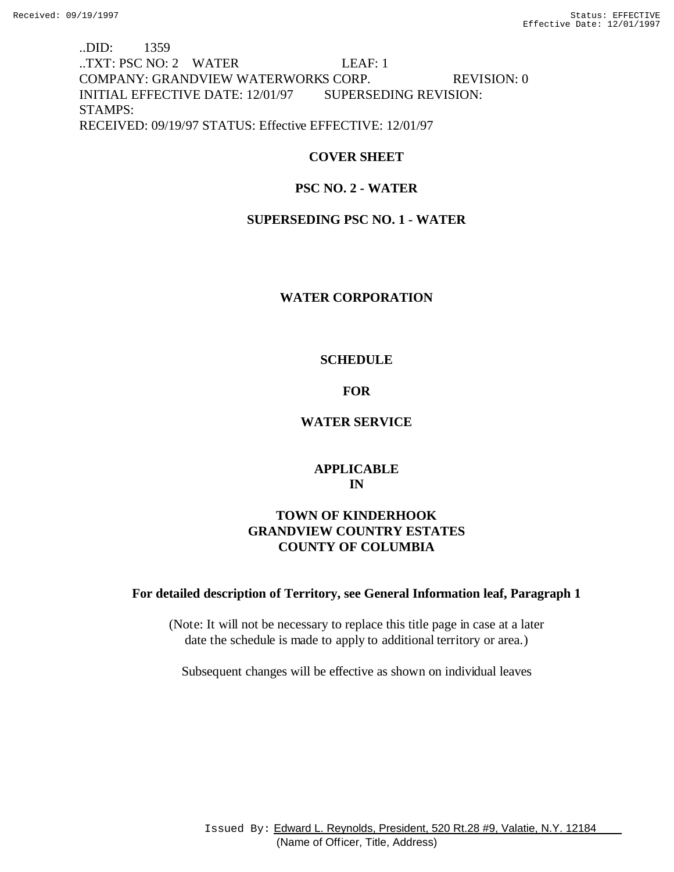# ..DID: 1359 ..TXT: PSC NO: 2 WATER LEAF: 1 COMPANY: GRANDVIEW WATERWORKS CORP. REVISION: 0 INITIAL EFFECTIVE DATE: 12/01/97 SUPERSEDING REVISION: STAMPS: RECEIVED: 09/19/97 STATUS: Effective EFFECTIVE: 12/01/97

## **COVER SHEET**

# **PSC NO. 2 - WATER**

## **SUPERSEDING PSC NO. 1 - WATER**

## **WATER CORPORATION**

## **SCHEDULE**

## **FOR**

## **WATER SERVICE**

## **APPLICABLE IN**

# **TOWN OF KINDERHOOK GRANDVIEW COUNTRY ESTATES COUNTY OF COLUMBIA**

## **For detailed description of Territory, see General Information leaf, Paragraph 1**

(Note: It will not be necessary to replace this title page in case at a later date the schedule is made to apply to additional territory or area.)

Subsequent changes will be effective as shown on individual leaves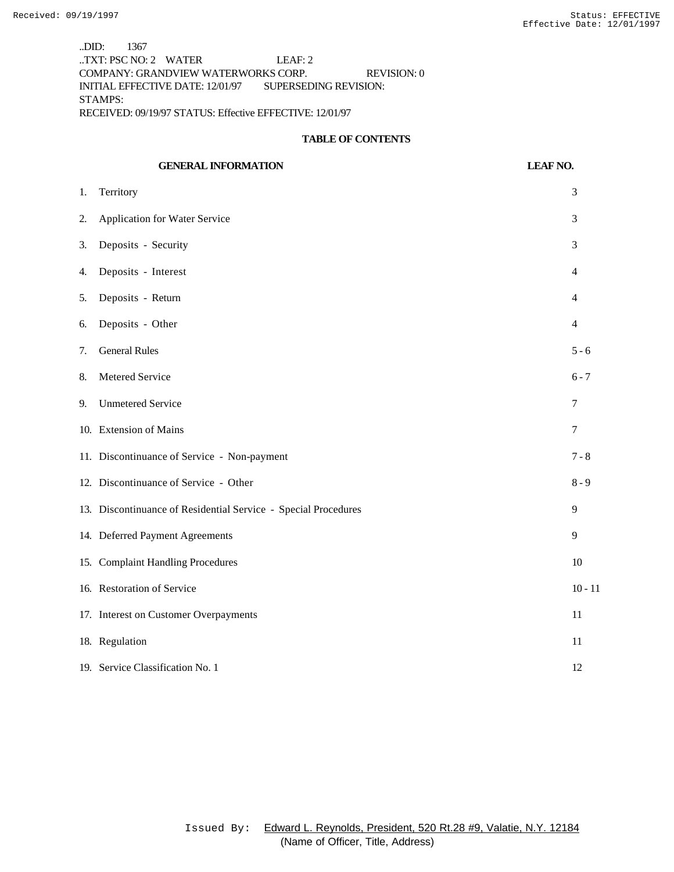..DID: 1367 ..TXT: PSC NO: 2 WATER LEAF: 2 COMPANY: GRANDVIEW WATERWORKS CORP. REVISION: 0 INITIAL EFFECTIVE DATE: 12/01/97 SUPERSEDING REVISION: STAMPS: RECEIVED: 09/19/97 STATUS: Effective EFFECTIVE: 12/01/97

#### **TABLE OF CONTENTS**

|    | <b>GENERAL INFORMATION</b>                                     | <b>LEAF NO.</b> |
|----|----------------------------------------------------------------|-----------------|
| 1. | Territory                                                      | 3               |
| 2. | <b>Application for Water Service</b>                           | 3               |
| 3. | Deposits - Security                                            | 3               |
| 4. | Deposits - Interest                                            | 4               |
| 5. | Deposits - Return                                              | 4               |
| 6. | Deposits - Other                                               | $\overline{4}$  |
| 7. | <b>General Rules</b>                                           | $5 - 6$         |
| 8. | Metered Service                                                | $6 - 7$         |
| 9. | <b>Unmetered Service</b>                                       | 7               |
|    | 10. Extension of Mains                                         | 7               |
|    | 11. Discontinuance of Service - Non-payment                    | $7 - 8$         |
|    | 12. Discontinuance of Service - Other                          | $8 - 9$         |
|    | 13. Discontinuance of Residential Service - Special Procedures | 9               |
|    | 14. Deferred Payment Agreements                                | 9               |
|    | 15. Complaint Handling Procedures                              | 10              |
|    | 16. Restoration of Service                                     | $10 - 11$       |
|    | 17. Interest on Customer Overpayments                          | 11              |
|    | 18. Regulation                                                 | 11              |
|    | 19. Service Classification No. 1                               | 12              |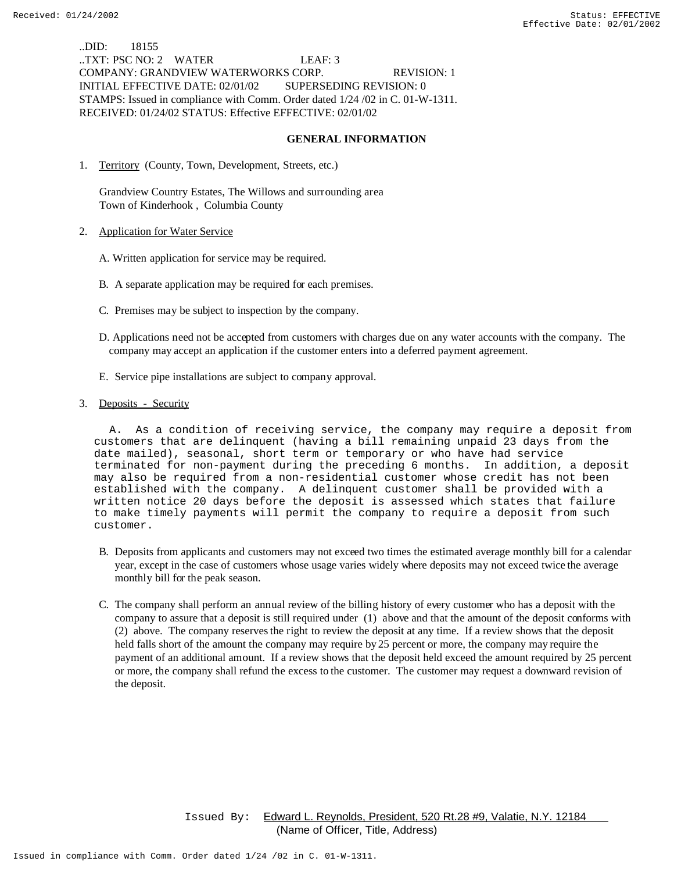..DID: 18155 ..TXT: PSC NO: 2 WATER LEAF: 3 COMPANY: GRANDVIEW WATERWORKS CORP. REVISION: 1 INITIAL EFFECTIVE DATE: 02/01/02 SUPERSEDING REVISION: 0 STAMPS: Issued in compliance with Comm. Order dated 1/24 /02 in C. 01-W-1311. RECEIVED: 01/24/02 STATUS: Effective EFFECTIVE: 02/01/02

#### **GENERAL INFORMATION**

1. Territory (County, Town, Development, Streets, etc.)

 Grandview Country Estates, The Willows and surrounding area Town of Kinderhook , Columbia County

- 2. Application for Water Service
	- A. Written application for service may be required.
	- B. A separate application may be required for each premises.
	- C. Premises may be subject to inspection by the company.
	- D. Applications need not be accepted from customers with charges due on any water accounts with the company. The company may accept an application if the customer enters into a deferred payment agreement.
	- E. Service pipe installations are subject to company approval.
- 3. Deposits Security

 A. As a condition of receiving service, the company may require a deposit from customers that are delinquent (having a bill remaining unpaid 23 days from the date mailed), seasonal, short term or temporary or who have had service terminated for non-payment during the preceding 6 months. In addition, a deposit may also be required from a non-residential customer whose credit has not been established with the company. A delinquent customer shall be provided with a written notice 20 days before the deposit is assessed which states that failure to make timely payments will permit the company to require a deposit from such customer.

- B. Deposits from applicants and customers may not exceed two times the estimated average monthly bill for a calendar year, except in the case of customers whose usage varies widely where deposits may not exceed twice the average monthly bill for the peak season.
- C. The company shall perform an annual review of the billing history of every customer who has a deposit with the company to assure that a deposit is still required under (1) above and that the amount of the deposit conforms with (2) above. The company reserves the right to review the deposit at any time. If a review shows that the deposit held falls short of the amount the company may require by 25 percent or more, the company may require the payment of an additional amount. If a review shows that the deposit held exceed the amount required by 25 percent or more, the company shall refund the excess to the customer. The customer may request a downward revision of the deposit.

 Issued By: Edward L. Reynolds, President, 520 Rt.28 #9, Valatie, N.Y. 12184 (Name of Officer, Title, Address)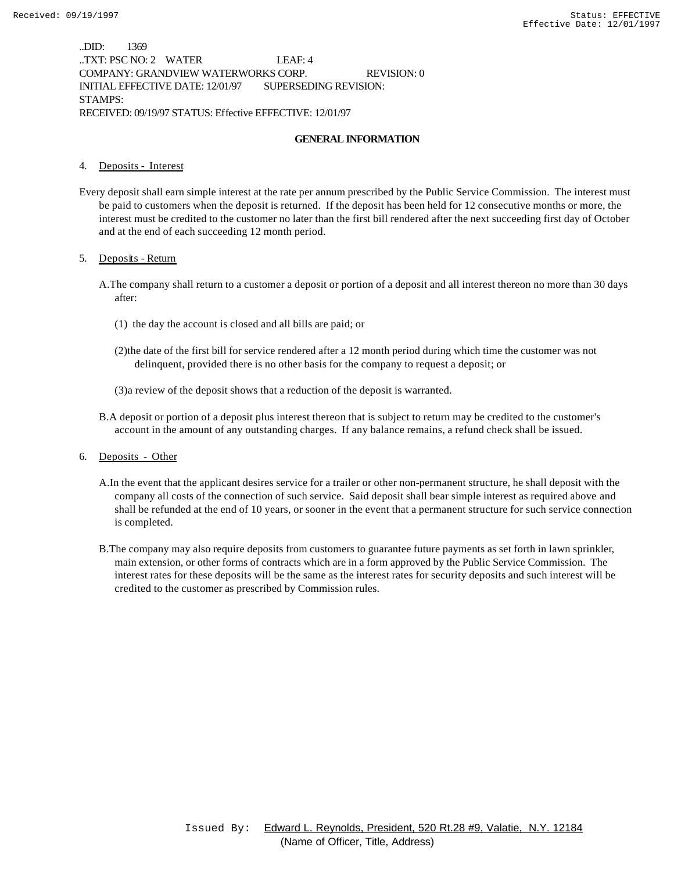..DID: 1369 ..TXT: PSC NO: 2 WATER LEAF: 4 COMPANY: GRANDVIEW WATERWORKS CORP. REVISION: 0 INITIAL EFFECTIVE DATE: 12/01/97 SUPERSEDING REVISION: STAMPS: RECEIVED: 09/19/97 STATUS: Effective EFFECTIVE: 12/01/97

### **GENERAL INFORMATION**

#### 4. Deposits - Interest

Every deposit shall earn simple interest at the rate per annum prescribed by the Public Service Commission. The interest must be paid to customers when the deposit is returned. If the deposit has been held for 12 consecutive months or more, the interest must be credited to the customer no later than the first bill rendered after the next succeeding first day of October and at the end of each succeeding 12 month period.

#### 5. Deposits - Return

- A.The company shall return to a customer a deposit or portion of a deposit and all interest thereon no more than 30 days after:
	- (1) the day the account is closed and all bills are paid; or
	- (2)the date of the first bill for service rendered after a 12 month period during which time the customer was not delinquent, provided there is no other basis for the company to request a deposit; or
	- (3)a review of the deposit shows that a reduction of the deposit is warranted.
- B.A deposit or portion of a deposit plus interest thereon that is subject to return may be credited to the customer's account in the amount of any outstanding charges. If any balance remains, a refund check shall be issued.
- 6. Deposits Other
	- A.In the event that the applicant desires service for a trailer or other non-permanent structure, he shall deposit with the company all costs of the connection of such service. Said deposit shall bear simple interest as required above and shall be refunded at the end of 10 years, or sooner in the event that a permanent structure for such service connection is completed.
	- B.The company may also require deposits from customers to guarantee future payments as set forth in lawn sprinkler, main extension, or other forms of contracts which are in a form approved by the Public Service Commission. The interest rates for these deposits will be the same as the interest rates for security deposits and such interest will be credited to the customer as prescribed by Commission rules.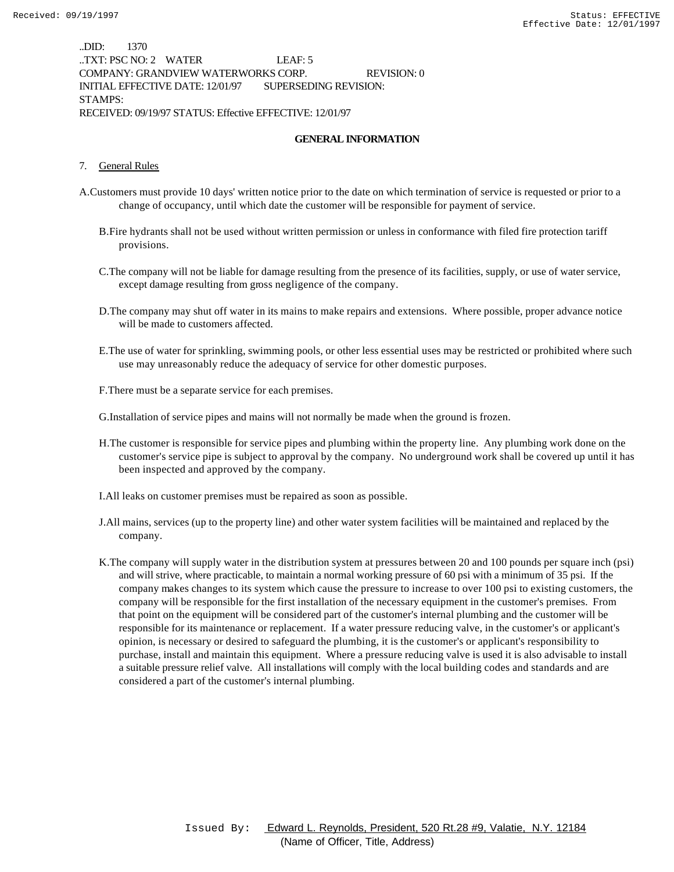..DID: 1370 ..TXT: PSC NO: 2 WATER LEAF: 5 COMPANY: GRANDVIEW WATERWORKS CORP. REVISION: 0 INITIAL EFFECTIVE DATE: 12/01/97 SUPERSEDING REVISION: STAMPS: RECEIVED: 09/19/97 STATUS: Effective EFFECTIVE: 12/01/97

### **GENERAL INFORMATION**

#### 7. General Rules

- A.Customers must provide 10 days' written notice prior to the date on which termination of service is requested or prior to a change of occupancy, until which date the customer will be responsible for payment of service.
	- B.Fire hydrants shall not be used without written permission or unless in conformance with filed fire protection tariff provisions.
	- C.The company will not be liable for damage resulting from the presence of its facilities, supply, or use of water service, except damage resulting from gross negligence of the company.
	- D.The company may shut off water in its mains to make repairs and extensions. Where possible, proper advance notice will be made to customers affected.
	- E.The use of water for sprinkling, swimming pools, or other less essential uses may be restricted or prohibited where such use may unreasonably reduce the adequacy of service for other domestic purposes.
	- F.There must be a separate service for each premises.

G.Installation of service pipes and mains will not normally be made when the ground is frozen.

- H.The customer is responsible for service pipes and plumbing within the property line. Any plumbing work done on the customer's service pipe is subject to approval by the company. No underground work shall be covered up until it has been inspected and approved by the company.
- I.All leaks on customer premises must be repaired as soon as possible.
- J.All mains, services (up to the property line) and other water system facilities will be maintained and replaced by the company.
- K.The company will supply water in the distribution system at pressures between 20 and 100 pounds per square inch (psi) and will strive, where practicable, to maintain a normal working pressure of 60 psi with a minimum of 35 psi. If the company makes changes to its system which cause the pressure to increase to over 100 psi to existing customers, the company will be responsible for the first installation of the necessary equipment in the customer's premises. From that point on the equipment will be considered part of the customer's internal plumbing and the customer will be responsible for its maintenance or replacement. If a water pressure reducing valve, in the customer's or applicant's opinion, is necessary or desired to safeguard the plumbing, it is the customer's or applicant's responsibility to purchase, install and maintain this equipment. Where a pressure reducing valve is used it is also advisable to install a suitable pressure relief valve. All installations will comply with the local building codes and standards and are considered a part of the customer's internal plumbing.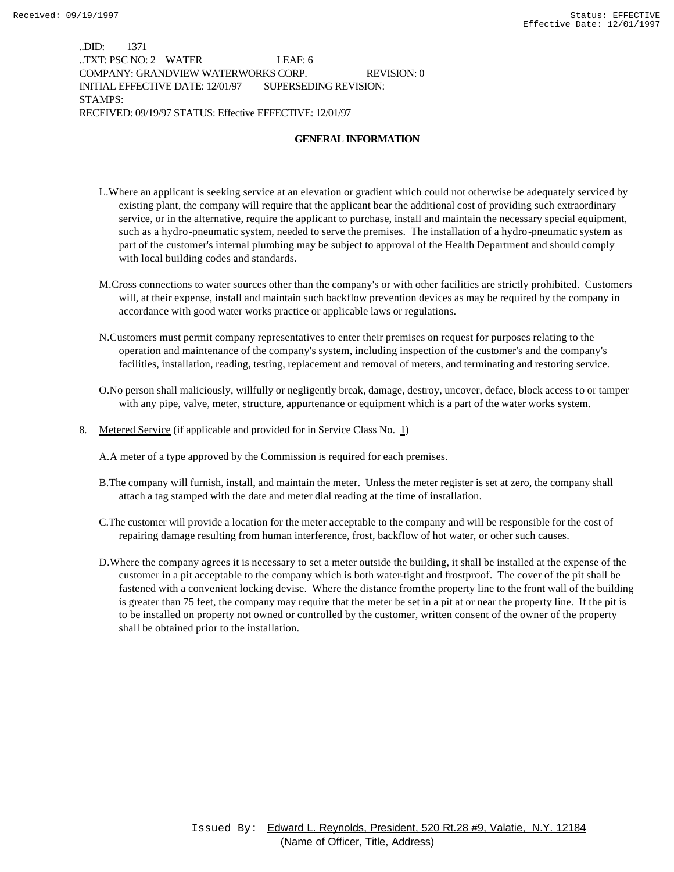..DID: 1371 ..TXT: PSC NO: 2 WATER LEAF: 6 COMPANY: GRANDVIEW WATERWORKS CORP. REVISION: 0 INITIAL EFFECTIVE DATE: 12/01/97 SUPERSEDING REVISION: STAMPS: RECEIVED: 09/19/97 STATUS: Effective EFFECTIVE: 12/01/97

### **GENERAL INFORMATION**

- L.Where an applicant is seeking service at an elevation or gradient which could not otherwise be adequately serviced by existing plant, the company will require that the applicant bear the additional cost of providing such extraordinary service, or in the alternative, require the applicant to purchase, install and maintain the necessary special equipment, such as a hydro-pneumatic system, needed to serve the premises. The installation of a hydro-pneumatic system as part of the customer's internal plumbing may be subject to approval of the Health Department and should comply with local building codes and standards.
- M.Cross connections to water sources other than the company's or with other facilities are strictly prohibited. Customers will, at their expense, install and maintain such backflow prevention devices as may be required by the company in accordance with good water works practice or applicable laws or regulations.
- N.Customers must permit company representatives to enter their premises on request for purposes relating to the operation and maintenance of the company's system, including inspection of the customer's and the company's facilities, installation, reading, testing, replacement and removal of meters, and terminating and restoring service.
- O.No person shall maliciously, willfully or negligently break, damage, destroy, uncover, deface, block access to or tamper with any pipe, valve, meter, structure, appurtenance or equipment which is a part of the water works system.
- 8. Metered Service (if applicable and provided for in Service Class No. 1)

A.A meter of a type approved by the Commission is required for each premises.

- B.The company will furnish, install, and maintain the meter. Unless the meter register is set at zero, the company shall attach a tag stamped with the date and meter dial reading at the time of installation.
- C.The customer will provide a location for the meter acceptable to the company and will be responsible for the cost of repairing damage resulting from human interference, frost, backflow of hot water, or other such causes.
- D.Where the company agrees it is necessary to set a meter outside the building, it shall be installed at the expense of the customer in a pit acceptable to the company which is both water-tight and frostproof. The cover of the pit shall be fastened with a convenient locking devise. Where the distance from the property line to the front wall of the building is greater than 75 feet, the company may require that the meter be set in a pit at or near the property line. If the pit is to be installed on property not owned or controlled by the customer, written consent of the owner of the property shall be obtained prior to the installation.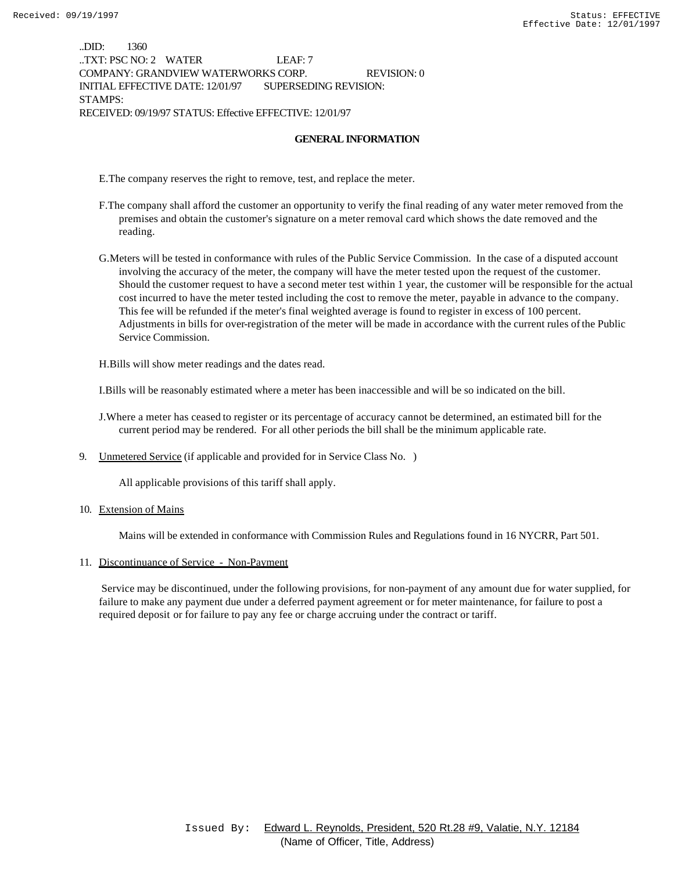..DID: 1360 ..TXT: PSC NO: 2 WATER LEAF: 7 COMPANY: GRANDVIEW WATERWORKS CORP. REVISION: 0 INITIAL EFFECTIVE DATE: 12/01/97 SUPERSEDING REVISION: STAMPS: RECEIVED: 09/19/97 STATUS: Effective EFFECTIVE: 12/01/97

#### **GENERAL INFORMATION**

E.The company reserves the right to remove, test, and replace the meter.

- F.The company shall afford the customer an opportunity to verify the final reading of any water meter removed from the premises and obtain the customer's signature on a meter removal card which shows the date removed and the reading.
- G.Meters will be tested in conformance with rules of the Public Service Commission. In the case of a disputed account involving the accuracy of the meter, the company will have the meter tested upon the request of the customer. Should the customer request to have a second meter test within 1 year, the customer will be responsible for the actual cost incurred to have the meter tested including the cost to remove the meter, payable in advance to the company. This fee will be refunded if the meter's final weighted average is found to register in excess of 100 percent. Adjustments in bills for over-registration of the meter will be made in accordance with the current rules of the Public Service Commission.

H.Bills will show meter readings and the dates read.

I.Bills will be reasonably estimated where a meter has been inaccessible and will be so indicated on the bill.

- J.Where a meter has ceased to register or its percentage of accuracy cannot be determined, an estimated bill for the current period may be rendered. For all other periods the bill shall be the minimum applicable rate.
- 9. Unmetered Service (if applicable and provided for in Service Class No. )

All applicable provisions of this tariff shall apply.

10. Extension of Mains

Mains will be extended in conformance with Commission Rules and Regulations found in 16 NYCRR, Part 501.

#### 11. Discontinuance of Service - Non-Payment

 Service may be discontinued, under the following provisions, for non-payment of any amount due for water supplied, for failure to make any payment due under a deferred payment agreement or for meter maintenance, for failure to post a required deposit or for failure to pay any fee or charge accruing under the contract or tariff.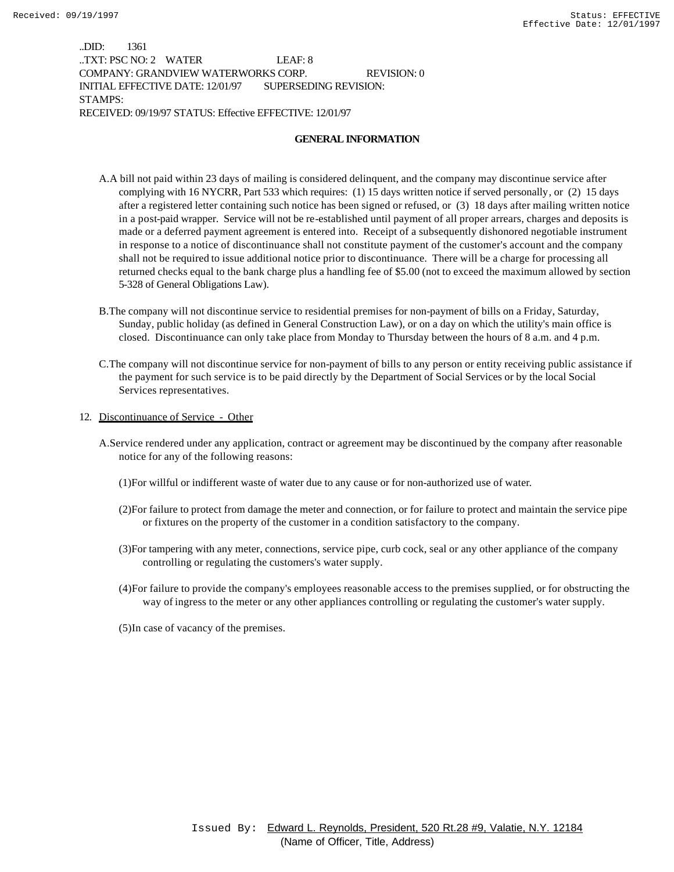..DID: 1361 ..TXT: PSC NO: 2 WATER LEAF: 8 COMPANY: GRANDVIEW WATERWORKS CORP. REVISION: 0 INITIAL EFFECTIVE DATE: 12/01/97 SUPERSEDING REVISION: STAMPS: RECEIVED: 09/19/97 STATUS: Effective EFFECTIVE: 12/01/97

#### **GENERAL INFORMATION**

- A.A bill not paid within 23 days of mailing is considered delinquent, and the company may discontinue service after complying with 16 NYCRR, Part 533 which requires: (1) 15 days written notice if served personally, or (2) 15 days after a registered letter containing such notice has been signed or refused, or (3) 18 days after mailing written notice in a post-paid wrapper. Service will not be re-established until payment of all proper arrears, charges and deposits is made or a deferred payment agreement is entered into. Receipt of a subsequently dishonored negotiable instrument in response to a notice of discontinuance shall not constitute payment of the customer's account and the company shall not be required to issue additional notice prior to discontinuance. There will be a charge for processing all returned checks equal to the bank charge plus a handling fee of \$5.00 (not to exceed the maximum allowed by section 5-328 of General Obligations Law).
- B.The company will not discontinue service to residential premises for non-payment of bills on a Friday, Saturday, Sunday, public holiday (as defined in General Construction Law), or on a day on which the utility's main office is closed. Discontinuance can only take place from Monday to Thursday between the hours of 8 a.m. and 4 p.m.
- C.The company will not discontinue service for non-payment of bills to any person or entity receiving public assistance if the payment for such service is to be paid directly by the Department of Social Services or by the local Social Services representatives.
- 12. Discontinuance of Service Other
	- A.Service rendered under any application, contract or agreement may be discontinued by the company after reasonable notice for any of the following reasons:
		- (1)For willful or indifferent waste of water due to any cause or for non-authorized use of water.
		- (2)For failure to protect from damage the meter and connection, or for failure to protect and maintain the service pipe or fixtures on the property of the customer in a condition satisfactory to the company.
		- (3)For tampering with any meter, connections, service pipe, curb cock, seal or any other appliance of the company controlling or regulating the customers's water supply.
		- (4)For failure to provide the company's employees reasonable access to the premises supplied, or for obstructing the way of ingress to the meter or any other appliances controlling or regulating the customer's water supply.
		- (5)In case of vacancy of the premises.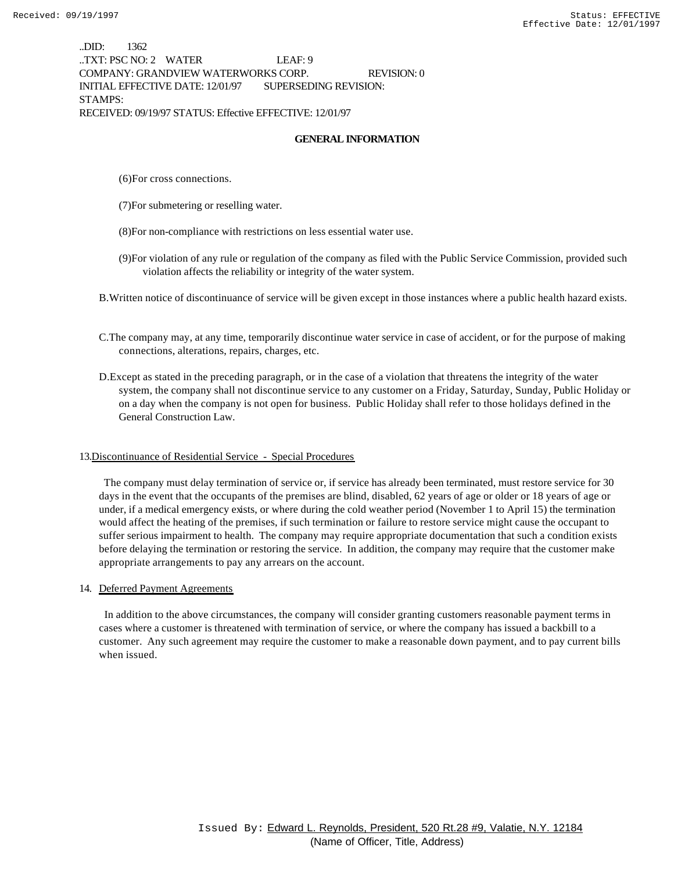..DID: 1362 ..TXT: PSC NO: 2 WATER LEAF: 9 COMPANY: GRANDVIEW WATERWORKS CORP. REVISION: 0 INITIAL EFFECTIVE DATE: 12/01/97 SUPERSEDING REVISION: STAMPS: RECEIVED: 09/19/97 STATUS: Effective EFFECTIVE: 12/01/97

#### **GENERAL INFORMATION**

- (6)For cross connections.
- (7)For submetering or reselling water.
- (8)For non-compliance with restrictions on less essential water use.
- (9)For violation of any rule or regulation of the company as filed with the Public Service Commission, provided such violation affects the reliability or integrity of the water system.
- B.Written notice of discontinuance of service will be given except in those instances where a public health hazard exists.
- C.The company may, at any time, temporarily discontinue water service in case of accident, or for the purpose of making connections, alterations, repairs, charges, etc.
- D.Except as stated in the preceding paragraph, or in the case of a violation that threatens the integrity of the water system, the company shall not discontinue service to any customer on a Friday, Saturday, Sunday, Public Holiday or on a day when the company is not open for business. Public Holiday shall refer to those holidays defined in the General Construction Law.

#### 13.Discontinuance of Residential Service - Special Procedures

 The company must delay termination of service or, if service has already been terminated, must restore service for 30 days in the event that the occupants of the premises are blind, disabled, 62 years of age or older or 18 years of age or under, if a medical emergency exists, or where during the cold weather period (November 1 to April 15) the termination would affect the heating of the premises, if such termination or failure to restore service might cause the occupant to suffer serious impairment to health. The company may require appropriate documentation that such a condition exists before delaying the termination or restoring the service. In addition, the company may require that the customer make appropriate arrangements to pay any arrears on the account.

#### 14. Deferred Payment Agreements

 In addition to the above circumstances, the company will consider granting customers reasonable payment terms in cases where a customer is threatened with termination of service, or where the company has issued a backbill to a customer. Any such agreement may require the customer to make a reasonable down payment, and to pay current bills when issued.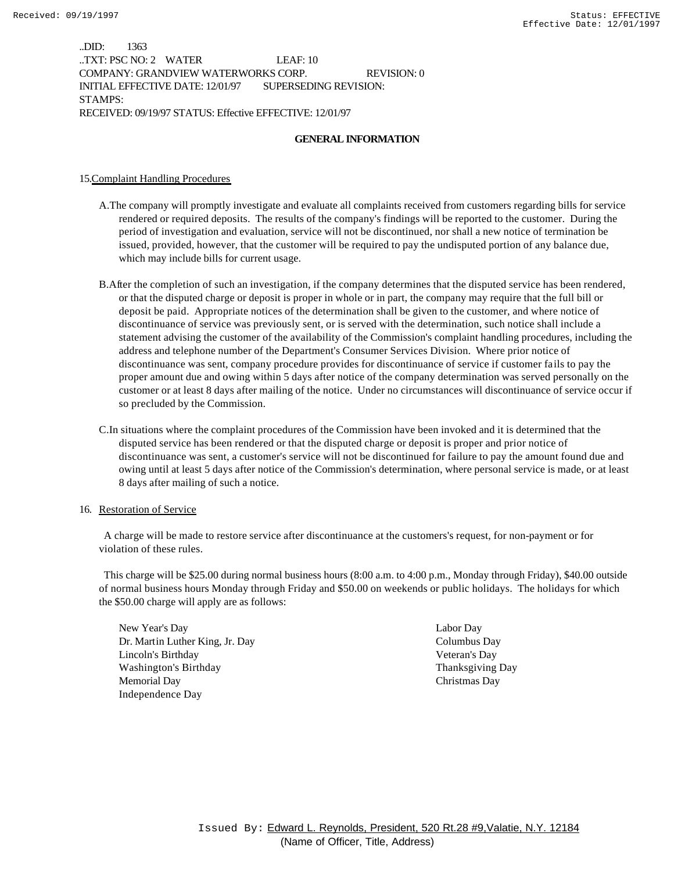..DID: 1363 ..TXT: PSC NO: 2 WATER LEAF: 10 COMPANY: GRANDVIEW WATERWORKS CORP. REVISION: 0 INITIAL EFFECTIVE DATE: 12/01/97 SUPERSEDING REVISION: STAMPS: RECEIVED: 09/19/97 STATUS: Effective EFFECTIVE: 12/01/97

### **GENERAL INFORMATION**

#### 15.Complaint Handling Procedures

- A.The company will promptly investigate and evaluate all complaints received from customers regarding bills for service rendered or required deposits. The results of the company's findings will be reported to the customer. During the period of investigation and evaluation, service will not be discontinued, nor shall a new notice of termination be issued, provided, however, that the customer will be required to pay the undisputed portion of any balance due, which may include bills for current usage.
- B.After the completion of such an investigation, if the company determines that the disputed service has been rendered, or that the disputed charge or deposit is proper in whole or in part, the company may require that the full bill or deposit be paid. Appropriate notices of the determination shall be given to the customer, and where notice of discontinuance of service was previously sent, or is served with the determination, such notice shall include a statement advising the customer of the availability of the Commission's complaint handling procedures, including the address and telephone number of the Department's Consumer Services Division. Where prior notice of discontinuance was sent, company procedure provides for discontinuance of service if customer fails to pay the proper amount due and owing within 5 days after notice of the company determination was served personally on the customer or at least 8 days after mailing of the notice. Under no circumstances will discontinuance of service occur if so precluded by the Commission.
- C.In situations where the complaint procedures of the Commission have been invoked and it is determined that the disputed service has been rendered or that the disputed charge or deposit is proper and prior notice of discontinuance was sent, a customer's service will not be discontinued for failure to pay the amount found due and owing until at least 5 days after notice of the Commission's determination, where personal service is made, or at least 8 days after mailing of such a notice.

#### 16. Restoration of Service

 A charge will be made to restore service after discontinuance at the customers's request, for non-payment or for violation of these rules.

 This charge will be \$25.00 during normal business hours (8:00 a.m. to 4:00 p.m., Monday through Friday), \$40.00 outside of normal business hours Monday through Friday and \$50.00 on weekends or public holidays. The holidays for which the \$50.00 charge will apply are as follows:

New Year's Day Labor Day Dr. Martin Luther King, Jr. Day Columbus Day Lincoln's Birthday Veteran's Day Washington's Birthday Thanksgiving Day Memorial Day Christmas Day Independence Day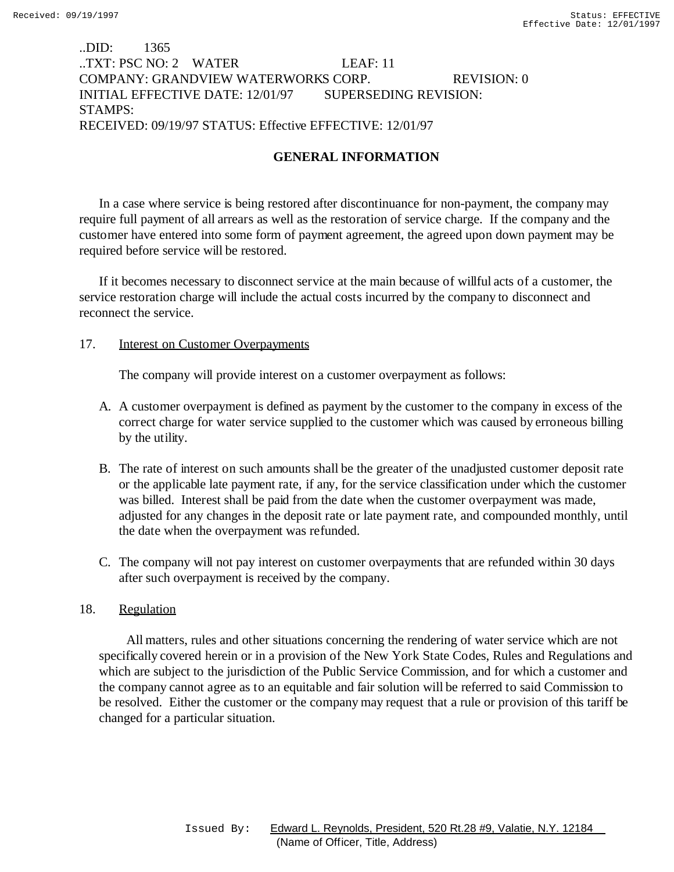# ..DID: 1365 ..TXT: PSC NO: 2 WATER LEAF: 11 COMPANY: GRANDVIEW WATERWORKS CORP. REVISION: 0 INITIAL EFFECTIVE DATE: 12/01/97 SUPERSEDING REVISION: STAMPS: RECEIVED: 09/19/97 STATUS: Effective EFFECTIVE: 12/01/97

# **GENERAL INFORMATION**

In a case where service is being restored after discontinuance for non-payment, the company may require full payment of all arrears as well as the restoration of service charge. If the company and the customer have entered into some form of payment agreement, the agreed upon down payment may be required before service will be restored.

If it becomes necessary to disconnect service at the main because of willful acts of a customer, the service restoration charge will include the actual costs incurred by the company to disconnect and reconnect the service.

### 17. **Interest on Customer Overpayments**

The company will provide interest on a customer overpayment as follows:

- A. A customer overpayment is defined as payment by the customer to the company in excess of the correct charge for water service supplied to the customer which was caused by erroneous billing by the utility.
- B. The rate of interest on such amounts shall be the greater of the unadjusted customer deposit rate or the applicable late payment rate, if any, for the service classification under which the customer was billed. Interest shall be paid from the date when the customer overpayment was made, adjusted for any changes in the deposit rate or late payment rate, and compounded monthly, until the date when the overpayment was refunded.
- C. The company will not pay interest on customer overpayments that are refunded within 30 days after such overpayment is received by the company.

## 18. Regulation

 All matters, rules and other situations concerning the rendering of water service which are not specifically covered herein or in a provision of the New York State Codes, Rules and Regulations and which are subject to the jurisdiction of the Public Service Commission, and for which a customer and the company cannot agree as to an equitable and fair solution will be referred to said Commission to be resolved. Either the customer or the company may request that a rule or provision of this tariff be changed for a particular situation.